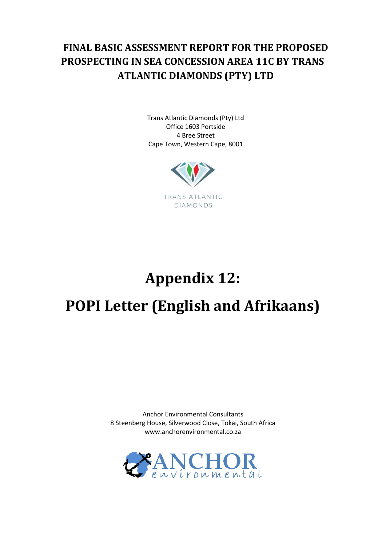## **FINAL BASIC ASSESSMENT REPORT FOR THE PROPOSED PROSPECTING IN SEA CONCESSION AREA 11C BY TRANS ATLANTIC DIAMONDS (PTY) LTD**

Trans Atlantic Diamonds (Pty) Ltd Office 1603 Portside 4 Bree Street Cape Town, Western Cape, 8001



## **Appendix 12: POPI Letter (English and Afrikaans)**

Anchor Environmental Consultants 8 Steenberg House, Silverwood Close, Tokai, South Africa www.anchorenvironmental.co.za

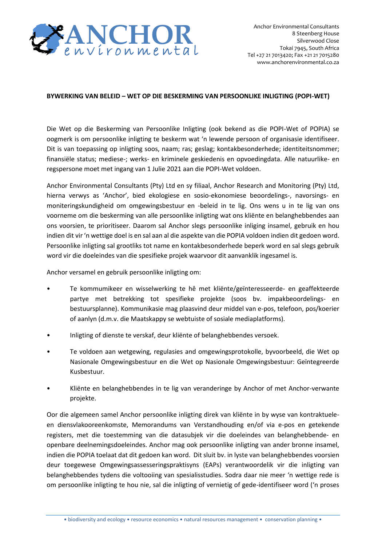

## **BYWERKING VAN BELEID – WET OP DIE BESKERMING VAN PERSOONLIKE INLIGTING (POPI-WET)**

Die Wet op die Beskerming van Persoonlike Inligting (ook bekend as die POPI-Wet of POPIA) se oogmerk is om persoonlike inligting te beskerm wat 'n lewende persoon of organisasie identifiseer. Dit is van toepassing op inligting soos, naam; ras; geslag; kontakbesonderhede; identiteitsnommer; finansiële status; mediese-; werks- en kriminele geskiedenis en opvoedingdata. Alle natuurlike- en regspersone moet met ingang van 1 Julie 2021 aan die POPI-Wet voldoen.

**•• ANCHORE CONSERVATIVE CONSERVATIVE CONSERVATIVE (CONSERVATIVE) •• EXAMPLE CONSERVATIVE CONSERVATIVE CONSERVATIVE CONSERVATIVE CONSERVATIVE (COPIND THE SECTION CONSERVATIVE CONSERVATIVE (COPIND THE SECTION CONSERV** Anchor Environmental Consultants (Pty) Ltd en sy filiaal, Anchor Research and Monitoring (Pty) Ltd, hierna verwys as 'Anchor', bied ekologiese en sosio-ekonomiese beoordelings-, navorsings- en moniteringskundigheid om omgewingsbestuur en -beleid in te lig. Ons wens u in te lig van ons voorneme om die beskerming van alle persoonlike inligting wat ons kliënte en belanghebbendes aan ons voorsien, te prioritiseer. Daarom sal Anchor slegs persoonlike inliging insamel, gebruik en hou indien dit vir 'n wettige doel is en sal aan al die aspekte van die POPIA voldoen indien dit gedoen word. Persoonlike inligting sal grootliks tot name en kontakbesonderhede beperk word en sal slegs gebruik word vir die doeleindes van die spesifieke projek waarvoor dit aanvanklik ingesamel is.

Anchor versamel en gebruik persoonlike inligting om:

- Te kommumikeer en wisselwerking te hê met kliënte/geïnteresseerde- en geaffekteerde partye met betrekking tot spesifieke projekte (soos bv. impakbeoordelings- en bestuursplanne). Kommunikasie mag plaasvind deur middel van e-pos, telefoon, pos/koerier of aanlyn (d.m.v. die Maatskappy se webtuiste of sosiale mediaplatforms).
- Inligting of dienste te verskaf, deur kliënte of belanghebbendes versoek.
- Te voldoen aan wetgewing, regulasies and omgewingsprotokolle, byvoorbeeld, die Wet op Nasionale Omgewingsbestuur en die Wet op Nasionale Omgewingsbestuur: Geïntegreerde Kusbestuur.
- Kliënte en belanghebbendes in te lig van veranderinge by Anchor of met Anchor-verwante projekte.

Oor die algemeen samel Anchor persoonlike inligting direk van kliënte in by wyse van kontraktueleen diensvlakooreenkomste, Memorandums van Verstandhouding en/of via e-pos en getekende registers, met die toestemming van die datasubjek vir die doeleindes van belanghebbende- en openbare deelnemingsdoeleindes. Anchor mag ook persoonlike inligting van ander bronne insamel, indien die POPIA toelaat dat dit gedoen kan word. Dit sluit bv. in lyste van belanghebbendes voorsien deur toegewese Omgewingsassesseringspraktisyns (EAPs) verantwoordelik vir die inligting van belanghebbendes tydens die voltooiing van spesialisstudies. Sodra daar nie meer 'n wettige rede is om persoonlike inligting te hou nie, sal die inligting of vernietig of gede-identifiseer word ('n proses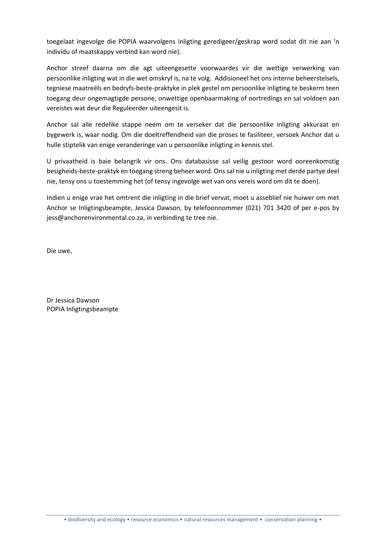toegelaat ingevolge die POPIA waarvolgens inligting geredigeer/geskrap word sodat dit nie aan 'n individu of maatskappy verbind kan word nie).

Anchor streef daarna om die agt uiteengesette voorwaardes vir die wettige verwerking van persoonlike inligting wat in die wet omskryf is, na te volg. Addisioneel het ons interne beheerstelsels, tegniese maatreëls en bedryfs-beste-praktyke in plek gestel om persoonlike inligting te beskerm teen toegang deur ongemagtigde persone, onwettige openbaarmaking of oortredings en sal voldoen aan vereistes wat deur die Reguleerder uiteengesit is.

Anchor sal alle redelike stappe neem om te verseker dat die persoonlike inligting akkuraat en bygewerk is, waar nodig. Om die doeltreffendheid van die proses te fasiliteer, versoek Anchor dat u hulle stiptelik van enige veranderinge van u persoonlike inligting in kennis stel.

U privaatheid is baie belangrik vir ons. Ons databasisse sal veilig gestoor word ooreenkomstig besigheids-beste-praktyk en toegang streng beheer word. Ons sal nie u inligting met derde partye deel nie, tensy ons u toestemming het (of tensy ingevolge wet van ons vereis word om dit te doen).

Indien u enige vrae het omtrent die inligting in die brief vervat, moet u asseblief nie huiwer om met Anchor se Inligtingsbeampte, Jessica Dawson, by telefoonnommer (021) 701 3420 of per e-pos by jess@anchorenvironmental.co.za, in verbinding te tree nie.

Die uwe,

Dr Jessica Dawson POPIA Inligtingsbeampte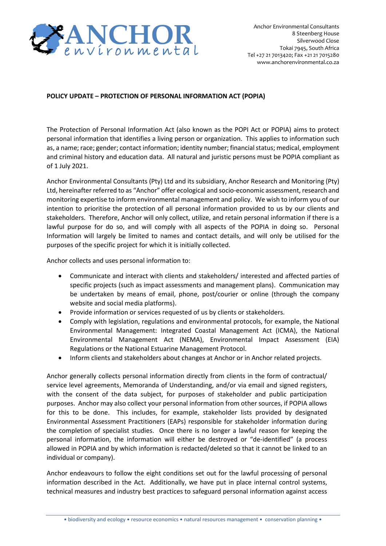

## **POLICY UPDATE – PROTECTION OF PERSONAL INFORMATION ACT (POPIA)**

The Protection of Personal Information Act (also known as the POPI Act or POPIA) aims to protect personal information that identifies a living person or organization. This applies to information such as, a name; race; gender; contact information; identity number; financial status; medical, employment and criminal history and education data. All natural and juristic persons must be POPIA compliant as of 1 July 2021.

Anchor Environmental Consultants (Pty) Ltd and its subsidiary, Anchor Research and Monitoring (Pty) Ltd, hereinafter referred to as "Anchor" offer ecological and socio-economic assessment, research and monitoring expertise to inform environmental management and policy. We wish to inform you of our intention to prioritise the protection of all personal information provided to us by our clients and stakeholders. Therefore, Anchor will only collect, utilize, and retain personal information if there is a lawful purpose for do so, and will comply with all aspects of the POPIA in doing so. Personal Information will largely be limited to names and contact details, and will only be utilised for the purposes of the specific project for which it is initially collected.

Anchor collects and uses personal information to:

- Communicate and interact with clients and stakeholders/ interested and affected parties of specific projects (such as impact assessments and management plans). Communication may be undertaken by means of email, phone, post/courier or online (through the company website and social media platforms).
- Provide information or services requested of us by clients or stakeholders.
- Comply with legislation, regulations and environmental protocols, for example, the National Environmental Management: Integrated Coastal Management Act (ICMA), the National Environmental Management Act (NEMA), Environmental Impact Assessment (EIA) Regulations or the National Estuarine Management Protocol.
- Inform clients and stakeholders about changes at Anchor or in Anchor related projects.

**ANNIFE CONTINUORE FOR THE CONTINUOR CONTINUOR CONTINUOR CONTINUOR CONTINUOR CONTINUO TRANSFER (FOR A SURVEY CONTINUOR CONTINUOR CONTINUOR CONTINUOR CONTINUOR CONTINUOR CONTINUOR CONTINUOR CONTINUOR CONTINUOR CONTINUOR C** Anchor generally collects personal information directly from clients in the form of contractual/ service level agreements, Memoranda of Understanding, and/or via email and signed registers, with the consent of the data subject, for purposes of stakeholder and public participation purposes. Anchor may also collect your personal information from other sources, if POPIA allows for this to be done. This includes, for example, stakeholder lists provided by designated Environmental Assessment Practitioners (EAPs) responsible for stakeholder information during the completion of specialist studies. Once there is no longer a lawful reason for keeping the personal information, the information will either be destroyed or "de-identified" (a process allowed in POPIA and by which information is redacted/deleted so that it cannot be linked to an individual or company).

Anchor endeavours to follow the eight conditions set out for the lawful processing of personal information described in the Act. Additionally, we have put in place internal control systems, technical measures and industry best practices to safeguard personal information against access